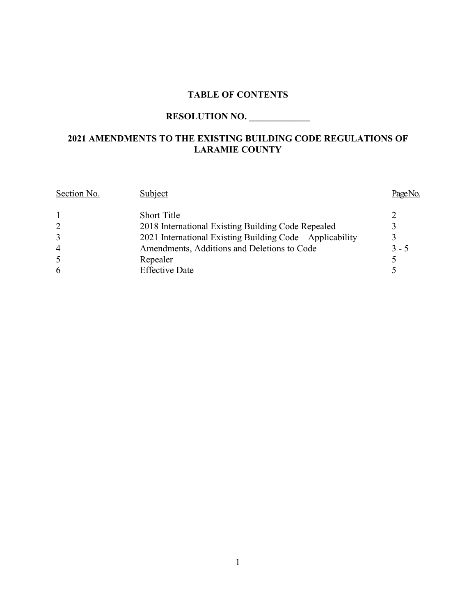# **TABLE OF CONTENTS**

# **RESOLUTION NO. \_\_\_\_\_\_\_\_\_\_\_\_\_**

# **2021 AMENDMENTS TO THE EXISTING BUILDING CODE REGULATIONS OF LARAMIE COUNTY**

| Section No.    | Subject                                                   |         |
|----------------|-----------------------------------------------------------|---------|
|                | <b>Short Title</b>                                        |         |
| $\overline{2}$ | 2018 International Existing Building Code Repealed        |         |
| 3              | 2021 International Existing Building Code – Applicability |         |
| $\overline{4}$ | Amendments, Additions and Deletions to Code               | $3 - 5$ |
| 5              | Repealer                                                  |         |
| 6              | <b>Effective Date</b>                                     |         |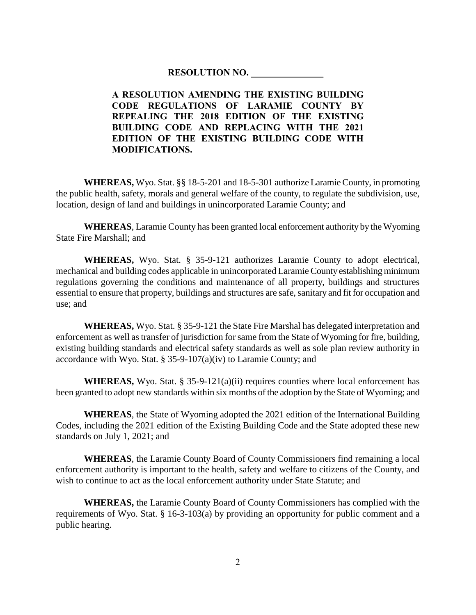#### **RESOLUTION NO. \_\_\_\_\_\_\_\_\_\_\_\_\_\_\_**

**A RESOLUTION AMENDING THE EXISTING BUILDING CODE REGULATIONS OF LARAMIE COUNTY BY REPEALING THE 2018 EDITION OF THE EXISTING BUILDING CODE AND REPLACING WITH THE 2021 EDITION OF THE EXISTING BUILDING CODE WITH MODIFICATIONS.**

**WHEREAS,** Wyo. Stat. §§ 18-5-201 and 18-5-301 authorize Laramie County, in promoting the public health, safety, morals and general welfare of the county, to regulate the subdivision, use, location, design of land and buildings in unincorporated Laramie County; and

**WHEREAS**, Laramie County has been granted local enforcement authority by the Wyoming State Fire Marshall; and

**WHEREAS,** Wyo. Stat. § 35-9-121 authorizes Laramie County to adopt electrical, mechanical and building codes applicable in unincorporated Laramie County establishing minimum regulations governing the conditions and maintenance of all property, buildings and structures essential to ensure that property, buildings and structures are safe, sanitary and fit for occupation and use; and

**WHEREAS,** Wyo. Stat. § 35-9-121 the State Fire Marshal has delegated interpretation and enforcement as well as transfer of jurisdiction for same from the State of Wyoming for fire, building, existing building standards and electrical safety standards as well as sole plan review authority in accordance with Wyo. Stat. § 35-9-107(a)(iv) to Laramie County; and

**WHEREAS,** Wyo. Stat.  $\S 35-9-121(a)(ii)$  requires counties where local enforcement has been granted to adopt new standards within six months of the adoption by the State of Wyoming; and

**WHEREAS**, the State of Wyoming adopted the 2021 edition of the International Building Codes, including the 2021 edition of the Existing Building Code and the State adopted these new standards on July 1, 2021; and

**WHEREAS**, the Laramie County Board of County Commissioners find remaining a local enforcement authority is important to the health, safety and welfare to citizens of the County, and wish to continue to act as the local enforcement authority under State Statute; and

**WHEREAS,** the Laramie County Board of County Commissioners has complied with the requirements of Wyo. Stat. § 16-3-103(a) by providing an opportunity for public comment and a public hearing.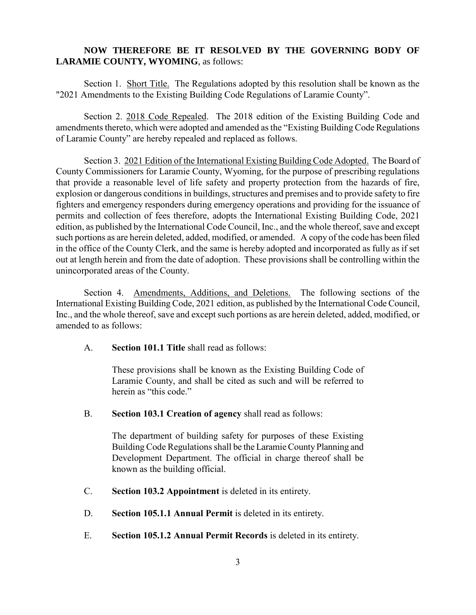### **NOW THEREFORE BE IT RESOLVED BY THE GOVERNING BODY OF LARAMIE COUNTY, WYOMING**, as follows:

Section 1. Short Title. The Regulations adopted by this resolution shall be known as the "2021 Amendments to the Existing Building Code Regulations of Laramie County".

Section 2. 2018 Code Repealed. The 2018 edition of the Existing Building Code and amendments thereto, which were adopted and amended as the "Existing Building Code Regulations of Laramie County" are hereby repealed and replaced as follows.

Section 3. 2021 Edition of the International Existing Building Code Adopted. The Board of County Commissioners for Laramie County, Wyoming, for the purpose of prescribing regulations that provide a reasonable level of life safety and property protection from the hazards of fire, explosion or dangerous conditions in buildings, structures and premises and to provide safety to fire fighters and emergency responders during emergency operations and providing for the issuance of permits and collection of fees therefore, adopts the International Existing Building Code, 2021 edition, as published by the International Code Council, Inc., and the whole thereof, save and except such portions as are herein deleted, added, modified, or amended. A copy of the code has been filed in the office of the County Clerk, and the same is hereby adopted and incorporated as fully as if set out at length herein and from the date of adoption. These provisions shall be controlling within the unincorporated areas of the County.

Section 4. Amendments, Additions, and Deletions. The following sections of the International Existing Building Code, 2021 edition, as published by the International Code Council, Inc., and the whole thereof, save and except such portions as are herein deleted, added, modified, or amended to as follows:

A. **Section 101.1 Title** shall read as follows:

These provisions shall be known as the Existing Building Code of Laramie County, and shall be cited as such and will be referred to herein as "this code."

B. **Section 103.1 Creation of agency** shall read as follows:

The department of building safety for purposes of these Existing Building Code Regulations shall be the Laramie County Planning and Development Department. The official in charge thereof shall be known as the building official.

- C. **Section 103.2 Appointment** is deleted in its entirety.
- D. **Section 105.1.1 Annual Permit** is deleted in its entirety.
- E. **Section 105.1.2 Annual Permit Records** is deleted in its entirety.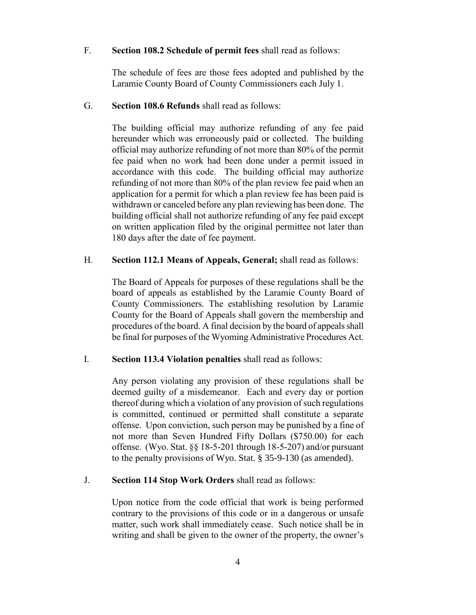#### F. **Section 108.2 Schedule of permit fees** shall read as follows:

The schedule of fees are those fees adopted and published by the Laramie County Board of County Commissioners each July 1.

#### G. **Section 108.6 Refunds** shall read as follows:

The building official may authorize refunding of any fee paid hereunder which was erroneously paid or collected. The building official may authorize refunding of not more than 80% of the permit fee paid when no work had been done under a permit issued in accordance with this code. The building official may authorize refunding of not more than 80% of the plan review fee paid when an application for a permit for which a plan review fee has been paid is withdrawn or canceled before any plan reviewing has been done. The building official shall not authorize refunding of any fee paid except on written application filed by the original permittee not later than 180 days after the date of fee payment.

#### H. **Section 112.1 Means of Appeals, General;** shall read as follows:

The Board of Appeals for purposes of these regulations shall be the board of appeals as established by the Laramie County Board of County Commissioners. The establishing resolution by Laramie County for the Board of Appeals shall govern the membership and procedures of the board. A final decision by the board of appeals shall be final for purposes of the Wyoming Administrative Procedures Act.

#### I. **Section 113.4 Violation penalties** shall read as follows:

Any person violating any provision of these regulations shall be deemed guilty of a misdemeanor. Each and every day or portion thereof during which a violation of any provision of such regulations is committed, continued or permitted shall constitute a separate offense. Upon conviction, such person may be punished by a fine of not more than Seven Hundred Fifty Dollars (\$750.00) for each offense. (Wyo. Stat. §§ 18-5-201 through 18-5-207) and/or pursuant to the penalty provisions of Wyo. Stat. § 35-9-130 (as amended).

#### J. **Section 114 Stop Work Orders** shall read as follows:

Upon notice from the code official that work is being performed contrary to the provisions of this code or in a dangerous or unsafe matter, such work shall immediately cease. Such notice shall be in writing and shall be given to the owner of the property, the owner's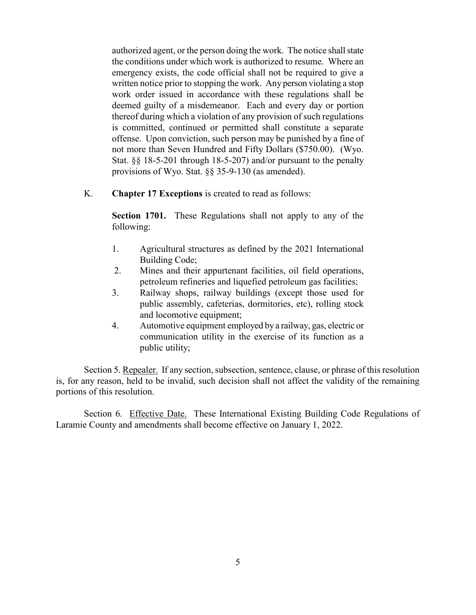authorized agent, or the person doing the work. The notice shall state the conditions under which work is authorized to resume. Where an emergency exists, the code official shall not be required to give a written notice prior to stopping the work. Any person violating a stop work order issued in accordance with these regulations shall be deemed guilty of a misdemeanor. Each and every day or portion thereof during which a violation of any provision of such regulations is committed, continued or permitted shall constitute a separate offense. Upon conviction, such person may be punished by a fine of not more than Seven Hundred and Fifty Dollars (\$750.00). (Wyo. Stat. §§ 18-5-201 through 18-5-207) and/or pursuant to the penalty provisions of Wyo. Stat. §§ 35-9-130 (as amended).

K. **Chapter 17 Exceptions** is created to read as follows:

**Section 1701.** These Regulations shall not apply to any of the following:

- 1. Agricultural structures as defined by the 2021 International Building Code;
- 2. Mines and their appurtenant facilities, oil field operations, petroleum refineries and liquefied petroleum gas facilities;
- 3. Railway shops, railway buildings (except those used for public assembly, cafeterias, dormitories, etc), rolling stock and locomotive equipment;
- 4. Automotive equipment employed by a railway, gas, electric or communication utility in the exercise of its function as a public utility;

Section 5. Repealer. If any section, subsection, sentence, clause, or phrase of this resolution is, for any reason, held to be invalid, such decision shall not affect the validity of the remaining portions of this resolution.

Section 6. Effective Date. These International Existing Building Code Regulations of Laramie County and amendments shall become effective on January 1, 2022.